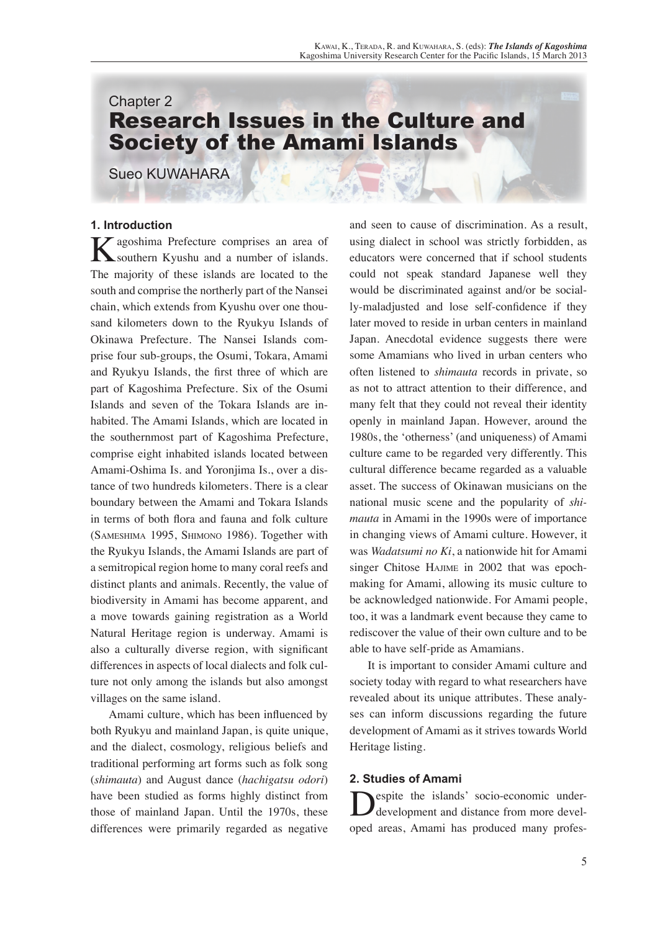# Chapter 2 Research Issues in the Culture and Society of the Amami Islands

Sueo KUWAHARA

# **1. Introduction**

**K** agoshima Prefecture comprises an area of synchtern Kyushu and a number of islands. southern Kyushu and a number of islands. The majority of these islands are located to the south and comprise the northerly part of the Nansei chain, which extends from Kyushu over one thousand kilometers down to the Ryukyu Islands of Okinawa Prefecture. The Nansei Islands comprise four sub-groups, the Osumi, Tokara, Amami and Ryukyu Islands, the first three of which are part of Kagoshima Prefecture. Six of the Osumi Islands and seven of the Tokara Islands are inhabited. The Amami Islands, which are located in the southernmost part of Kagoshima Prefecture, comprise eight inhabited islands located between Amami-Oshima Is. and Yoronjima Is., over a distance of two hundreds kilometers. There is a clear boundary between the Amami and Tokara Islands in terms of both flora and fauna and folk culture (Sameshima 1995, Shimono 1986). Together with the Ryukyu Islands, the Amami Islands are part of a semitropical region home to many coral reefs and distinct plants and animals. Recently, the value of biodiversity in Amami has become apparent, and a move towards gaining registration as a World Natural Heritage region is underway. Amami is also a culturally diverse region, with significant differences in aspects of local dialects and folk culture not only among the islands but also amongst villages on the same island.

Amami culture, which has been influenced by both Ryukyu and mainland Japan, is quite unique, and the dialect, cosmology, religious beliefs and traditional performing art forms such as folk song (*shimauta*) and August dance (*hachigatsu odori*) have been studied as forms highly distinct from those of mainland Japan. Until the 1970s, these differences were primarily regarded as negative

and seen to cause of discrimination. As a result, using dialect in school was strictly forbidden, as educators were concerned that if school students could not speak standard Japanese well they would be discriminated against and/or be socially-maladjusted and lose self-confidence if they later moved to reside in urban centers in mainland Japan. Anecdotal evidence suggests there were some Amamians who lived in urban centers who often listened to *shimauta* records in private, so as not to attract attention to their difference, and many felt that they could not reveal their identity openly in mainland Japan. However, around the 1980s, the 'otherness' (and uniqueness) of Amami culture came to be regarded very differently. This cultural difference became regarded as a valuable asset. The success of Okinawan musicians on the national music scene and the popularity of *shimauta* in Amami in the 1990s were of importance in changing views of Amami culture. However, it was *Wadatsumi no Ki*, a nationwide hit for Amami singer Chitose HAJIME in 2002 that was epochmaking for Amami, allowing its music culture to be acknowledged nationwide. For Amami people, too, it was a landmark event because they came to rediscover the value of their own culture and to be able to have self-pride as Amamians.

It is important to consider Amami culture and society today with regard to what researchers have revealed about its unique attributes. These analyses can inform discussions regarding the future development of Amami as it strives towards World Heritage listing.

# **2. Studies of Amami**

espite the islands' socio-economic underdevelopment and distance from more developed areas, Amami has produced many profes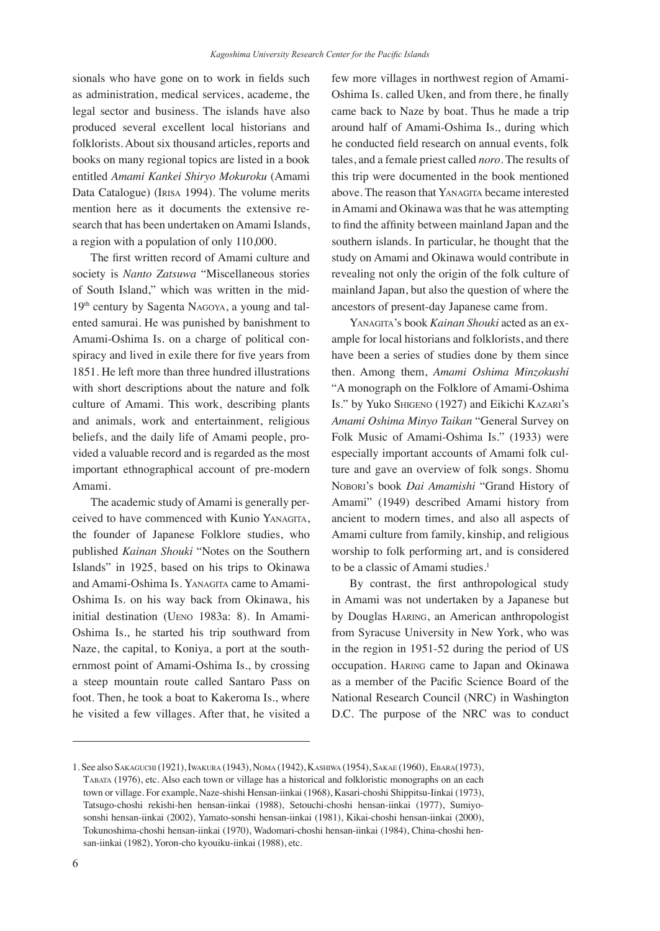sionals who have gone on to work in fields such as administration, medical services, academe, the legal sector and business. The islands have also produced several excellent local historians and folklorists. About six thousand articles, reports and books on many regional topics are listed in a book entitled *Amami Kankei Shiryo Mokuroku* (Amami Data Catalogue) (Irisa 1994). The volume merits mention here as it documents the extensive research that has been undertaken on Amami Islands, a region with a population of only 110,000.

The first written record of Amami culture and society is *Nanto Zatsuwa* "Miscellaneous stories of South Island," which was written in the mid-19th century by Sagenta Nagoya, a young and talented samurai. He was punished by banishment to Amami-Oshima Is. on a charge of political conspiracy and lived in exile there for five years from 1851. He left more than three hundred illustrations with short descriptions about the nature and folk culture of Amami. This work, describing plants and animals, work and entertainment, religious beliefs, and the daily life of Amami people, provided a valuable record and is regarded as the most important ethnographical account of pre-modern Amami.

The academic study of Amami is generally perceived to have commenced with Kunio Yanagita, the founder of Japanese Folklore studies, who published *Kainan Shouki* "Notes on the Southern Islands" in 1925, based on his trips to Okinawa and Amami-Oshima Is. YANAGITA came to Amami-Oshima Is. on his way back from Okinawa, his initial destination (Ueno 1983a: 8). In Amami-Oshima Is., he started his trip southward from Naze, the capital, to Koniya, a port at the southernmost point of Amami-Oshima Is., by crossing a steep mountain route called Santaro Pass on foot. Then, he took a boat to Kakeroma Is., where he visited a few villages. After that, he visited a few more villages in northwest region of Amami-Oshima Is. called Uken, and from there, he finally came back to Naze by boat. Thus he made a trip around half of Amami-Oshima Is., during which he conducted field research on annual events, folk tales, and a female priest called *noro*. The results of this trip were documented in the book mentioned above. The reason that YANAGITA became interested in Amami and Okinawa was that he was attempting to find the affinity between mainland Japan and the southern islands. In particular, he thought that the study on Amami and Okinawa would contribute in revealing not only the origin of the folk culture of mainland Japan, but also the question of where the ancestors of present-day Japanese came from.

Yanagita's book *Kainan Shouki* acted as an example for local historians and folklorists, and there have been a series of studies done by them since then. Among them, *Amami Oshima Minzokushi* "A monograph on the Folklore of Amami-Oshima Is." by Yuko SHIGENO (1927) and Eikichi KAZARI's *Amami Oshima Minyo Taikan* "General Survey on Folk Music of Amami-Oshima Is." (1933) were especially important accounts of Amami folk culture and gave an overview of folk songs. Shomu Nobori's book *Dai Amamishi* "Grand History of Amami" (1949) described Amami history from ancient to modern times, and also all aspects of Amami culture from family, kinship, and religious worship to folk performing art, and is considered to be a classic of Amami studies.<sup>1</sup>

By contrast, the first anthropological study in Amami was not undertaken by a Japanese but by Douglas Haring, an American anthropologist from Syracuse University in New York, who was in the region in 1951-52 during the period of US occupation. Haring came to Japan and Okinawa as a member of the Pacific Science Board of the National Research Council (NRC) in Washington D.C. The purpose of the NRC was to conduct

<sup>1.</sup> See also Sakaguchi (1921), Iwakura (1943), Noma (1942), Kashiwa (1954), Sakae (1960), Ebara(1973), Tabata (1976), etc. Also each town or village has a historical and folkloristic monographs on an each town or village. For example, Naze-shishi Hensan-iinkai (1968), Kasari-choshi Shippitsu-Iinkai (1973), Tatsugo-choshi rekishi-hen hensan-iinkai (1988), Setouchi-choshi hensan-iinkai (1977), Sumiyosonshi hensan-iinkai (2002), Yamato-sonshi hensan-iinkai (1981), Kikai-choshi hensan-iinkai (2000), Tokunoshima-choshi hensan-iinkai (1970), Wadomari-choshi hensan-iinkai (1984), China-choshi hensan-iinkai (1982), Yoron-cho kyouiku-iinkai (1988), etc.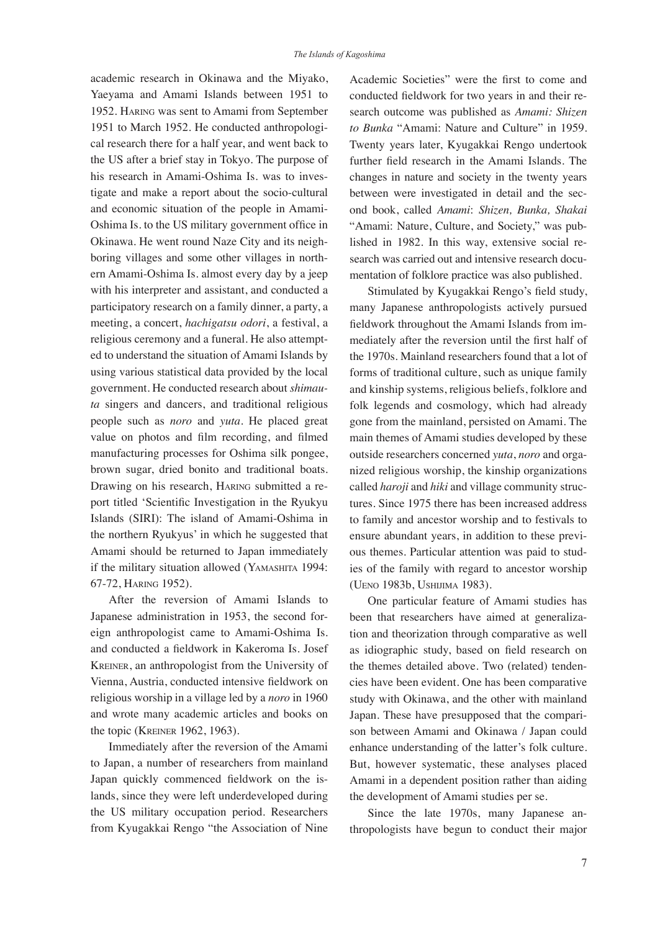academic research in Okinawa and the Miyako, Yaeyama and Amami Islands between 1951 to 1952. Haring was sent to Amami from September 1951 to March 1952. He conducted anthropological research there for a half year, and went back to the US after a brief stay in Tokyo. The purpose of his research in Amami-Oshima Is. was to investigate and make a report about the socio-cultural and economic situation of the people in Amami-Oshima Is. to the US military government office in Okinawa. He went round Naze City and its neighboring villages and some other villages in northern Amami-Oshima Is. almost every day by a jeep with his interpreter and assistant, and conducted a participatory research on a family dinner, a party, a meeting, a concert, *hachigatsu odori*, a festival, a religious ceremony and a funeral. He also attempted to understand the situation of Amami Islands by using various statistical data provided by the local government. He conducted research about *shimauta* singers and dancers, and traditional religious people such as *noro* and *yuta*. He placed great value on photos and film recording, and filmed manufacturing processes for Oshima silk pongee, brown sugar, dried bonito and traditional boats. Drawing on his research, Haring submitted a report titled 'Scientific Investigation in the Ryukyu Islands (SIRI): The island of Amami-Oshima in the northern Ryukyus' in which he suggested that Amami should be returned to Japan immediately if the military situation allowed (Yamashita 1994: 67-72, Haring 1952).

After the reversion of Amami Islands to Japanese administration in 1953, the second foreign anthropologist came to Amami-Oshima Is. and conducted a fieldwork in Kakeroma Is. Josef Kreiner, an anthropologist from the University of Vienna, Austria, conducted intensive fieldwork on religious worship in a village led by a *noro* in 1960 and wrote many academic articles and books on the topic (Kreiner 1962, 1963).

Immediately after the reversion of the Amami to Japan, a number of researchers from mainland Japan quickly commenced fieldwork on the islands, since they were left underdeveloped during the US military occupation period. Researchers from Kyugakkai Rengo "the Association of Nine

Academic Societies" were the first to come and conducted fieldwork for two years in and their research outcome was published as *Amami: Shizen to Bunka* "Amami: Nature and Culture" in 1959. Twenty years later, Kyugakkai Rengo undertook further field research in the Amami Islands. The changes in nature and society in the twenty years between were investigated in detail and the second book, called *Amami*: *Shizen, Bunka, Shakai* "Amami: Nature, Culture, and Society," was published in 1982. In this way, extensive social research was carried out and intensive research documentation of folklore practice was also published.

Stimulated by Kyugakkai Rengo's field study, many Japanese anthropologists actively pursued fieldwork throughout the Amami Islands from immediately after the reversion until the first half of the 1970s. Mainland researchers found that a lot of forms of traditional culture, such as unique family and kinship systems, religious beliefs, folklore and folk legends and cosmology, which had already gone from the mainland, persisted on Amami. The main themes of Amami studies developed by these outside researchers concerned *yuta*, *noro* and organized religious worship, the kinship organizations called *haroji* and *hiki* and village community structures. Since 1975 there has been increased address to family and ancestor worship and to festivals to ensure abundant years, in addition to these previous themes. Particular attention was paid to studies of the family with regard to ancestor worship (Ueno 1983b, Ushijima 1983).

One particular feature of Amami studies has been that researchers have aimed at generalization and theorization through comparative as well as idiographic study, based on field research on the themes detailed above. Two (related) tendencies have been evident. One has been comparative study with Okinawa, and the other with mainland Japan. These have presupposed that the comparison between Amami and Okinawa / Japan could enhance understanding of the latter's folk culture. But, however systematic, these analyses placed Amami in a dependent position rather than aiding the development of Amami studies per se.

Since the late 1970s, many Japanese anthropologists have begun to conduct their major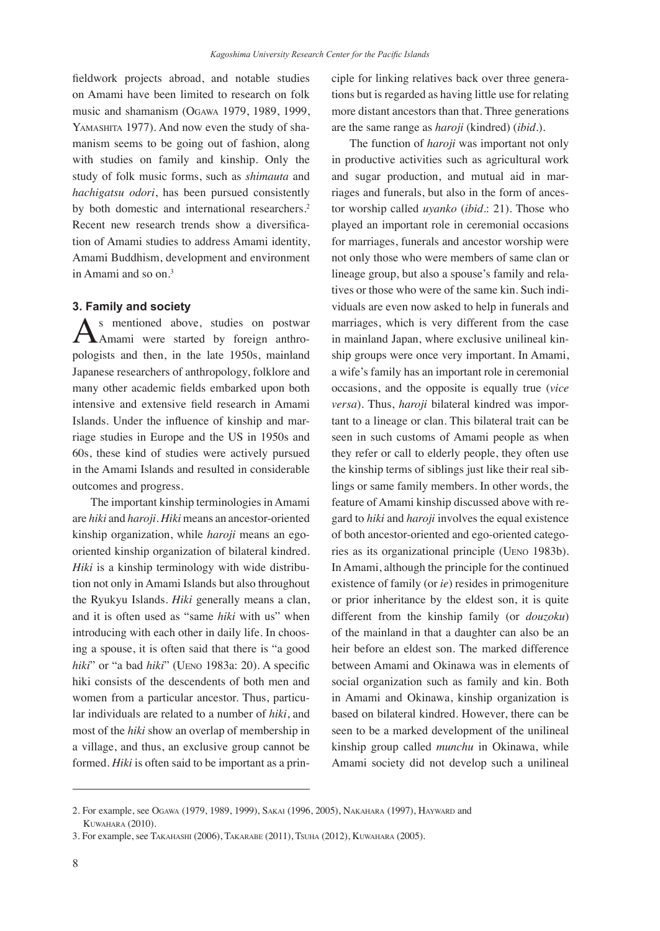fieldwork projects abroad, and notable studies on Amami have been limited to research on folk music and shamanism (Ogawa 1979, 1989, 1999, YAMASHITA 1977). And now even the study of shamanism seems to be going out of fashion, along with studies on family and kinship. Only the study of folk music forms, such as *shimauta* and *hachigatsu odori*, has been pursued consistently by both domestic and international researchers.<sup>2</sup> Recent new research trends show a diversification of Amami studies to address Amami identity, Amami Buddhism, development and environment in Amami and so on  $3$ 

#### **3. Family and society**

As mentioned above, studies on postwar<br>Amami were started by foreign anthropologists and then, in the late 1950s, mainland Japanese researchers of anthropology, folklore and many other academic fields embarked upon both intensive and extensive field research in Amami Islands. Under the influence of kinship and marriage studies in Europe and the US in 1950s and 60s, these kind of studies were actively pursued in the Amami Islands and resulted in considerable outcomes and progress.

The important kinship terminologies in Amami are *hiki* and *haroji*. *Hiki* means an ancestor-oriented kinship organization, while *haroji* means an egooriented kinship organization of bilateral kindred. *Hiki* is a kinship terminology with wide distribution not only in Amami Islands but also throughout the Ryukyu Islands. *Hiki* generally means a clan, and it is often used as "same *hiki* with us" when introducing with each other in daily life. In choosing a spouse, it is often said that there is "a good *hiki*" or "a bad *hiki*" (Ueno 1983a: 20). A specific hiki consists of the descendents of both men and women from a particular ancestor. Thus, particular individuals are related to a number of *hiki*, and most of the *hiki* show an overlap of membership in a village, and thus, an exclusive group cannot be formed. *Hiki* is often said to be important as a principle for linking relatives back over three generations but is regarded as having little use for relating more distant ancestors than that. Three generations are the same range as *haroji* (kindred) (*ibid*.).

The function of *haroji* was important not only in productive activities such as agricultural work and sugar production, and mutual aid in marriages and funerals, but also in the form of ancestor worship called *uyanko* (*ibid*.: 21). Those who played an important role in ceremonial occasions for marriages, funerals and ancestor worship were not only those who were members of same clan or lineage group, but also a spouse's family and relatives or those who were of the same kin. Such individuals are even now asked to help in funerals and marriages, which is very different from the case in mainland Japan, where exclusive unilineal kinship groups were once very important. In Amami, a wife's family has an important role in ceremonial occasions, and the opposite is equally true (*vice versa*). Thus, *haroji* bilateral kindred was important to a lineage or clan. This bilateral trait can be seen in such customs of Amami people as when they refer or call to elderly people, they often use the kinship terms of siblings just like their real siblings or same family members. In other words, the feature of Amami kinship discussed above with regard to *hiki* and *haroji* involves the equal existence of both ancestor-oriented and ego-oriented categories as its organizational principle (Ueno 1983b). In Amami, although the principle for the continued existence of family (or *ie*) resides in primogeniture or prior inheritance by the eldest son, it is quite different from the kinship family (or *douzoku*) of the mainland in that a daughter can also be an heir before an eldest son. The marked difference between Amami and Okinawa was in elements of social organization such as family and kin. Both in Amami and Okinawa, kinship organization is based on bilateral kindred. However, there can be seen to be a marked development of the unilineal kinship group called *munchu* in Okinawa, while Amami society did not develop such a unilineal

<sup>2.</sup> For example, see Ogawa (1979, 1989, 1999), Sakai (1996, 2005), Nakahara (1997), Hayward and Kuwahara (2010).

<sup>3.</sup> For example, see Takahashi (2006), Takarabe (2011), Tsuha (2012), Kuwahara (2005).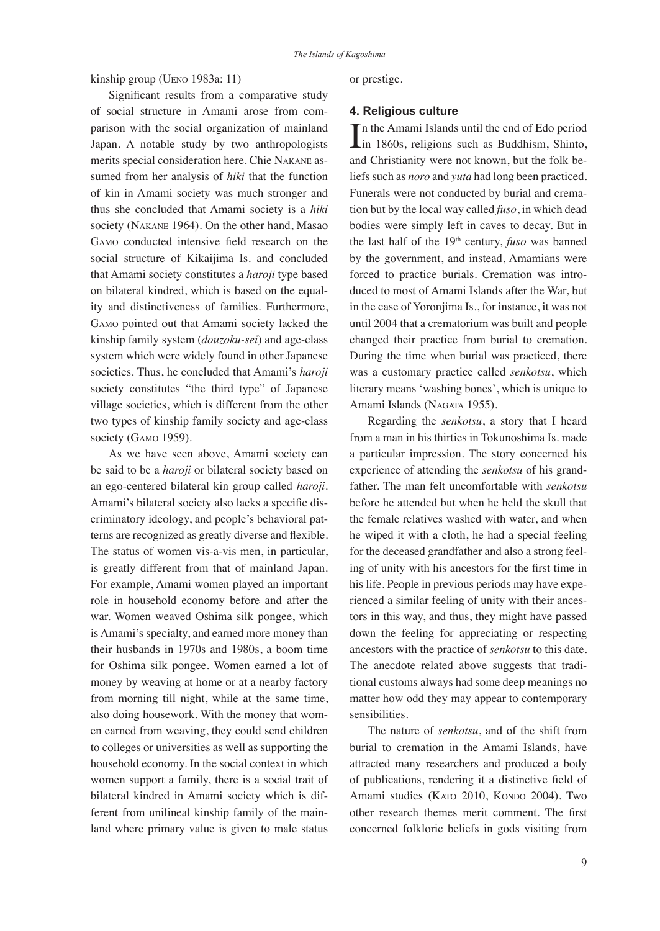kinship group (Ueno 1983a: 11)

Significant results from a comparative study of social structure in Amami arose from comparison with the social organization of mainland Japan. A notable study by two anthropologists merits special consideration here. Chie Nakane assumed from her analysis of *hiki* that the function of kin in Amami society was much stronger and thus she concluded that Amami society is a *hiki* society (Nakane 1964). On the other hand, Masao Gamo conducted intensive field research on the social structure of Kikaijima Is. and concluded that Amami society constitutes a *haroji* type based on bilateral kindred, which is based on the equality and distinctiveness of families. Furthermore, Gamo pointed out that Amami society lacked the kinship family system (*douzoku-sei*) and age-class system which were widely found in other Japanese societies. Thus, he concluded that Amami's *haroji* society constitutes "the third type" of Japanese village societies, which is different from the other two types of kinship family society and age-class society (GAMO 1959).

As we have seen above, Amami society can be said to be a *haroji* or bilateral society based on an ego-centered bilateral kin group called *haroji*. Amami's bilateral society also lacks a specific discriminatory ideology, and people's behavioral patterns are recognized as greatly diverse and flexible. The status of women vis-a-vis men, in particular, is greatly different from that of mainland Japan. For example, Amami women played an important role in household economy before and after the war. Women weaved Oshima silk pongee, which is Amami's specialty, and earned more money than their husbands in 1970s and 1980s, a boom time for Oshima silk pongee. Women earned a lot of money by weaving at home or at a nearby factory from morning till night, while at the same time, also doing housework. With the money that women earned from weaving, they could send children to colleges or universities as well as supporting the household economy. In the social context in which women support a family, there is a social trait of bilateral kindred in Amami society which is different from unilineal kinship family of the mainland where primary value is given to male status

or prestige.

#### **4. Religious culture**

In the Amami Islands until the end of Edo period<br>in 1860s, religions such as Buddhism, Shinto, In the Amami Islands until the end of Edo period and Christianity were not known, but the folk beliefs such as *noro* and *yuta* had long been practiced. Funerals were not conducted by burial and cremation but by the local way called *fuso*, in which dead bodies were simply left in caves to decay. But in the last half of the 19th century, *fuso* was banned by the government, and instead, Amamians were forced to practice burials. Cremation was introduced to most of Amami Islands after the War, but in the case of Yoronjima Is., for instance, it was not until 2004 that a crematorium was built and people changed their practice from burial to cremation. During the time when burial was practiced, there was a customary practice called *senkotsu*, which literary means 'washing bones', which is unique to Amami Islands (NAGATA 1955).

Regarding the *senkotsu*, a story that I heard from a man in his thirties in Tokunoshima Is. made a particular impression. The story concerned his experience of attending the *senkotsu* of his grandfather. The man felt uncomfortable with *senkotsu* before he attended but when he held the skull that the female relatives washed with water, and when he wiped it with a cloth, he had a special feeling for the deceased grandfather and also a strong feeling of unity with his ancestors for the first time in his life. People in previous periods may have experienced a similar feeling of unity with their ancestors in this way, and thus, they might have passed down the feeling for appreciating or respecting ancestors with the practice of *senkotsu* to this date. The anecdote related above suggests that traditional customs always had some deep meanings no matter how odd they may appear to contemporary sensibilities.

The nature of *senkotsu*, and of the shift from burial to cremation in the Amami Islands, have attracted many researchers and produced a body of publications, rendering it a distinctive field of Amami studies (KATO 2010, KONDO 2004). Two other research themes merit comment. The first concerned folkloric beliefs in gods visiting from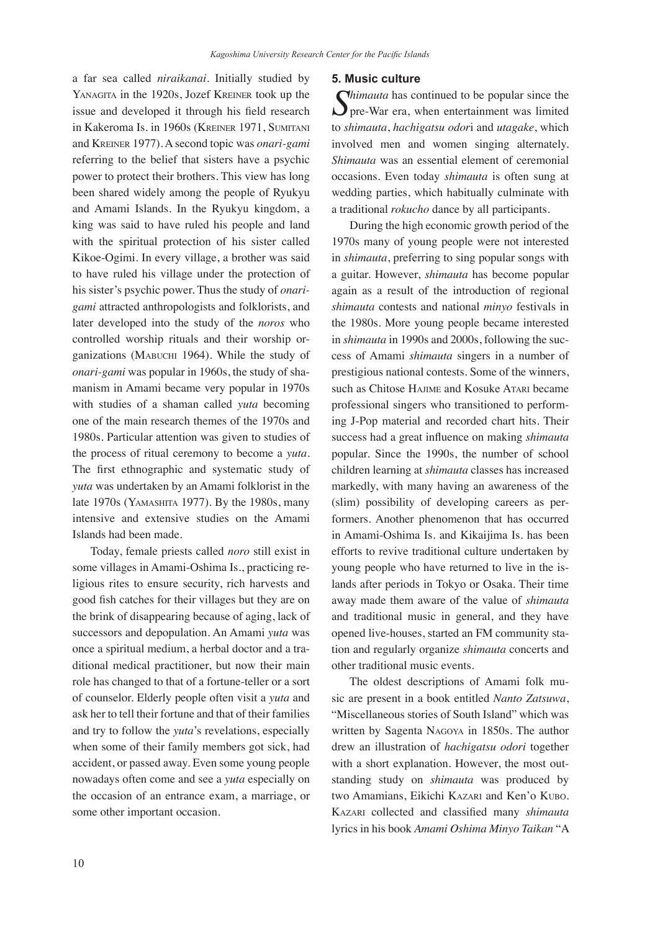a far sea called *niraikanai*. Initially studied by YANAGITA in the 1920s, Jozef KREINER took up the issue and developed it through his field research in Kakeroma Is. in 1960s (Kreiner 1971, Sumitani and Kreiner 1977). A second topic was *onari-gami* referring to the belief that sisters have a psychic power to protect their brothers. This view has long been shared widely among the people of Ryukyu and Amami Islands. In the Ryukyu kingdom, a king was said to have ruled his people and land with the spiritual protection of his sister called Kikoe-Ogimi. In every village, a brother was said to have ruled his village under the protection of his sister's psychic power. Thus the study of *onarigami* attracted anthropologists and folklorists, and later developed into the study of the *noros* who controlled worship rituals and their worship organizations (MABUCHI 1964). While the study of *onari-gami* was popular in 1960s, the study of shamanism in Amami became very popular in 1970s with studies of a shaman called *yuta* becoming one of the main research themes of the 1970s and 1980s. Particular attention was given to studies of the process of ritual ceremony to become a *yuta*. The first ethnographic and systematic study of *yuta* was undertaken by an Amami folklorist in the late 1970s (Yamashita 1977). By the 1980s, many intensive and extensive studies on the Amami Islands had been made.

Today, female priests called *noro* still exist in some villages in Amami-Oshima Is., practicing religious rites to ensure security, rich harvests and good fish catches for their villages but they are on the brink of disappearing because of aging, lack of successors and depopulation. An Amami *yuta* was once a spiritual medium, a herbal doctor and a traditional medical practitioner, but now their main role has changed to that of a fortune-teller or a sort of counselor. Elderly people often visit a *yuta* and ask her to tell their fortune and that of their families and try to follow the *yuta*'s revelations, especially when some of their family members got sick, had accident, or passed away. Even some young people nowadays often come and see a *yuta* especially on the occasion of an entrance exam, a marriage, or some other important occasion.

### 10

#### **5. Music culture**

*Chimauta* has continued to be popular since the pre-War era, when entertainment was limited to *shimauta*, *hachigatsu odor*i and *utagake*, which involved men and women singing alternately. *Shimauta* was an essential element of ceremonial occasions. Even today *shimauta* is often sung at wedding parties, which habitually culminate with a traditional *rokucho* dance by all participants.

During the high economic growth period of the 1970s many of young people were not interested in *shimauta*, preferring to sing popular songs with a guitar. However, *shimauta* has become popular again as a result of the introduction of regional *shimauta* contests and national *minyo* festivals in the 1980s. More young people became interested in *shimauta* in 1990s and 2000s, following the success of Amami *shimauta* singers in a number of prestigious national contests. Some of the winners, such as Chitose HAJIME and Kosuke ATARI became professional singers who transitioned to performing J-Pop material and recorded chart hits. Their success had a great influence on making *shimauta* popular. Since the 1990s, the number of school children learning at *shimauta* classes has increased markedly, with many having an awareness of the (slim) possibility of developing careers as performers. Another phenomenon that has occurred in Amami-Oshima Is. and Kikaijima Is. has been efforts to revive traditional culture undertaken by young people who have returned to live in the islands after periods in Tokyo or Osaka. Their time away made them aware of the value of *shimauta* and traditional music in general, and they have opened live-houses, started an FM community station and regularly organize *shimauta* concerts and other traditional music events.

The oldest descriptions of Amami folk music are present in a book entitled *Nanto Zatsuwa*, "Miscellaneous stories of South Island" which was written by Sagenta Nagoya in 1850s. The author drew an illustration of *hachigatsu odori* together with a short explanation. However, the most outstanding study on *shimauta* was produced by two Amamians, Eikichi KAZARI and Ken'o KUBO. Kazari collected and classified many *shimauta* lyrics in his book *Amami Oshima Minyo Taikan* "A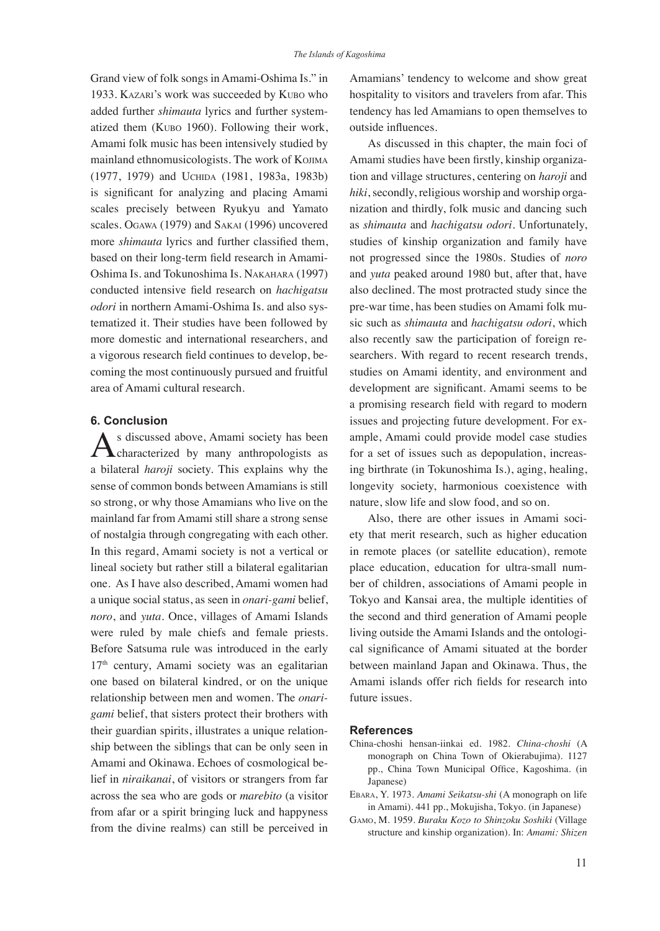Grand view of folk songs in Amami-Oshima Is." in 1933. Kazari's work was succeeded by Kubo who added further *shimauta* lyrics and further systematized them (Kubo 1960). Following their work, Amami folk music has been intensively studied by mainland ethnomusicologists. The work of Kojima (1977, 1979) and Uchida (1981, 1983a, 1983b) is significant for analyzing and placing Amami scales precisely between Ryukyu and Yamato scales. Ogawa (1979) and Sakai (1996) uncovered more *shimauta* lyrics and further classified them, based on their long-term field research in Amami-Oshima Is. and Tokunoshima Is. Nakahara (1997) conducted intensive field research on *hachigatsu odori* in northern Amami-Oshima Is. and also systematized it. Their studies have been followed by more domestic and international researchers, and a vigorous research field continues to develop, becoming the most continuously pursued and fruitful area of Amami cultural research.

# **6. Conclusion**

As discussed above, Amami society has been<br>characterized by many anthropologists as a bilateral *haroji* society. This explains why the sense of common bonds between Amamians is still so strong, or why those Amamians who live on the mainland far from Amami still share a strong sense of nostalgia through congregating with each other. In this regard, Amami society is not a vertical or lineal society but rather still a bilateral egalitarian one. As I have also described, Amami women had a unique social status, as seen in *onari-gami* belief, *noro*, and *yuta*. Once, villages of Amami Islands were ruled by male chiefs and female priests. Before Satsuma rule was introduced in the early 17th century, Amami society was an egalitarian one based on bilateral kindred, or on the unique relationship between men and women. The *onarigami* belief, that sisters protect their brothers with their guardian spirits, illustrates a unique relationship between the siblings that can be only seen in Amami and Okinawa. Echoes of cosmological belief in *niraikanai*, of visitors or strangers from far across the sea who are gods or *marebito* (a visitor from afar or a spirit bringing luck and happyness from the divine realms) can still be perceived in Amamians' tendency to welcome and show great hospitality to visitors and travelers from afar. This tendency has led Amamians to open themselves to outside influences.

As discussed in this chapter, the main foci of Amami studies have been firstly, kinship organization and village structures, centering on *haroji* and *hiki*, secondly, religious worship and worship organization and thirdly, folk music and dancing such as *shimauta* and *hachigatsu odori.* Unfortunately, studies of kinship organization and family have not progressed since the 1980s. Studies of *noro* and *yuta* peaked around 1980 but, after that, have also declined. The most protracted study since the pre-war time, has been studies on Amami folk music such as *shimauta* and *hachigatsu odori*, which also recently saw the participation of foreign researchers. With regard to recent research trends, studies on Amami identity, and environment and development are significant. Amami seems to be a promising research field with regard to modern issues and projecting future development. For example, Amami could provide model case studies for a set of issues such as depopulation, increasing birthrate (in Tokunoshima Is.), aging, healing, longevity society, harmonious coexistence with nature, slow life and slow food, and so on.

Also, there are other issues in Amami society that merit research, such as higher education in remote places (or satellite education), remote place education, education for ultra-small number of children, associations of Amami people in Tokyo and Kansai area, the multiple identities of the second and third generation of Amami people living outside the Amami Islands and the ontological significance of Amami situated at the border between mainland Japan and Okinawa. Thus, the Amami islands offer rich fields for research into future issues.

#### **References**

- China-choshi hensan-iinkai ed. 1982. *China-choshi* (A monograph on China Town of Okierabujima). 1127 pp., China Town Municipal Office, Kagoshima. (in Japanese)
- Ebara, Y. 1973. *Amami Seikatsu-shi* (A monograph on life in Amami). 441 pp., Mokujisha, Tokyo. (in Japanese)
- Gamo, M. 1959. *Buraku Kozo to Shinzoku Soshiki* (Village structure and kinship organization). In: *Amami: Shizen*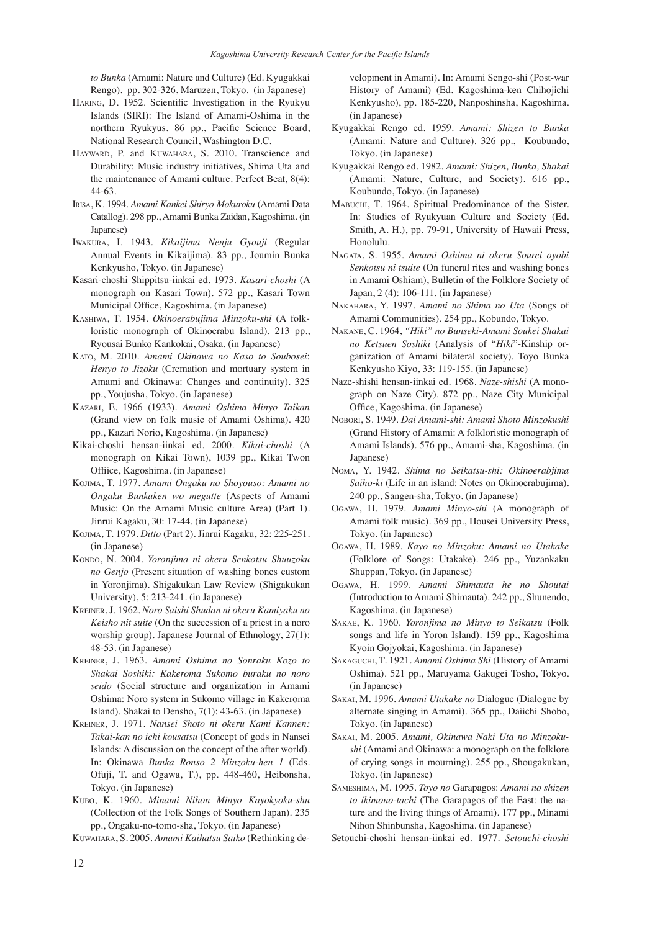*to Bunka* (Amami: Nature and Culture) (Ed. Kyugakkai Rengo). pp. 302-326, Maruzen, Tokyo. (in Japanese)

- HARING, D. 1952. Scientific Investigation in the Ryukyu Islands (SIRI): The Island of Amami-Oshima in the northern Ryukyus. 86 pp., Pacific Science Board, National Research Council, Washington D.C.
- HAYWARD, P. and KUWAHARA, S. 2010. Transcience and Durability: Music industry initiatives, Shima Uta and the maintenance of Amami culture. Perfect Beat, 8(4): 44-63.
- Irisa, K. 1994. *Amami Kankei Shiryo Mokuroku* (Amami Data Catallog). 298 pp., Amami Bunka Zaidan, Kagoshima. (in Japanese)
- Iwakura, I. 1943. *Kikaijima Nenju Gyouji* (Regular Annual Events in Kikaijima). 83 pp., Joumin Bunka Kenkyusho, Tokyo. (in Japanese)
- Kasari-choshi Shippitsu-iinkai ed. 1973. *Kasari-choshi* (A monograph on Kasari Town). 572 pp., Kasari Town Municipal Office, Kagoshima. (in Japanese)
- Kashiwa, T. 1954. *Okinoerabujima Minzoku-shi* (A folkloristic monograph of Okinoerabu Island). 213 pp., Ryousai Bunko Kankokai, Osaka. (in Japanese)
- Kato, M. 2010. *Amami Okinawa no Kaso to Soubosei*: *Henyo to Jizoku* (Cremation and mortuary system in Amami and Okinawa: Changes and continuity). 325 pp., Youjusha, Tokyo. (in Japanese)
- Kazari, E. 1966 (1933). *Amami Oshima Minyo Taikan* (Grand view on folk music of Amami Oshima). 420 pp., Kazari Norio, Kagoshima. (in Japanese)
- Kikai-choshi hensan-iinkai ed. 2000. *Kikai-choshi* (A monograph on Kikai Town), 1039 pp., Kikai Twon Offiice, Kagoshima. (in Japanese)
- Kojima, T. 1977. *Amami Ongaku no Shoyouso: Amami no Ongaku Bunkaken wo megutte* (Aspects of Amami Music: On the Amami Music culture Area) (Part 1). Jinrui Kagaku, 30: 17-44. (in Japanese)
- Kojima, T. 1979. *Ditto* (Part 2). Jinrui Kagaku, 32: 225-251. (in Japanese)
- Kondo, N. 2004. *Yoronjima ni okeru Senkotsu Shuuzoku no Genjo* (Present situation of washing bones custom in Yoronjima). Shigakukan Law Review (Shigakukan University), 5: 213-241. (in Japanese)
- Kreiner, J. 1962. *Noro Saishi Shudan ni okeru Kamiyaku no Keisho nit suite* (On the succession of a priest in a noro worship group). Japanese Journal of Ethnology, 27(1): 48-53. (in Japanese)
- Kreiner, J. 1963. *Amami Oshima no Sonraku Kozo to Shakai Soshiki: Kakeroma Sukomo buraku no noro seido* (Social structure and organization in Amami Oshima: Noro system in Sukomo village in Kakeroma Island). Shakai to Densho, 7(1): 43-63. (in Japanese)
- Kreiner, J. 1971. *Nansei Shoto ni okeru Kami Kannen: Takai-kan no ichi kousatsu* (Concept of gods in Nansei Islands: A discussion on the concept of the after world). In: Okinawa *Bunka Ronso 2 Minzoku-hen 1* (Eds. Ofuji, T. and Ogawa, T.), pp. 448-460, Heibonsha, Tokyo. (in Japanese)
- Kubo, K. 1960. *Minami Nihon Minyo Kayokyoku-shu* (Collection of the Folk Songs of Southern Japan). 235 pp., Ongaku-no-tomo-sha, Tokyo. (in Japanese)

Kuwahara, S. 2005. *Amami Kaihatsu Saiko* (Rethinking de-

velopment in Amami). In: Amami Sengo-shi (Post-war History of Amami) (Ed. Kagoshima-ken Chihojichi Kenkyusho), pp. 185-220, Nanposhinsha, Kagoshima. (in Japanese)

- Kyugakkai Rengo ed. 1959. *Amami: Shizen to Bunka* (Amami: Nature and Culture). 326 pp., Koubundo, Tokyo. (in Japanese)
- Kyugakkai Rengo ed. 1982. *Amami: Shizen, Bunka, Shakai*  (Amami: Nature, Culture, and Society). 616 pp., Koubundo, Tokyo. (in Japanese)
- Mabuchi, T. 1964. Spiritual Predominance of the Sister. In: Studies of Ryukyuan Culture and Society (Ed. Smith, A. H.), pp. 79-91, University of Hawaii Press, Honolulu.
- Nagata, S. 1955. *Amami Oshima ni okeru Sourei oyobi Senkotsu ni tsuite* (On funeral rites and washing bones in Amami Oshiam), Bulletin of the Folklore Society of Japan, 2 (4): 106-111. (in Japanese)
- Nakahara, Y. 1997. *Amami no Shima no Uta* (Songs of Amami Communities). 254 pp., Kobundo, Tokyo.
- Nakane, C. 1964, *"Hiki" no Bunseki-Amami Soukei Shakai no Ketsuen Soshiki* (Analysis of "*Hiki*"-Kinship organization of Amami bilateral society). Toyo Bunka Kenkyusho Kiyo, 33: 119-155. (in Japanese)
- Naze-shishi hensan-iinkai ed. 1968. *Naze-shishi* (A monograph on Naze City). 872 pp., Naze City Municipal Office, Kagoshima. (in Japanese)
- Nobori, S. 1949. *Dai Amami-shi: Amami Shoto Minzokushi*  (Grand History of Amami: A folkloristic monograph of Amami Islands). 576 pp., Amami-sha, Kagoshima. (in Japanese)
- Noma, Y. 1942. *Shima no Seikatsu-shi: Okinoerabjima Saiho-ki* (Life in an island: Notes on Okinoerabujima). 240 pp., Sangen-sha, Tokyo. (in Japanese)
- Ogawa, H. 1979. *Amami Minyo-shi* (A monograph of Amami folk music). 369 pp., Housei University Press, Tokyo. (in Japanese)
- Ogawa, H. 1989. *Kayo no Minzoku: Amami no Utakake* (Folklore of Songs: Utakake). 246 pp., Yuzankaku Shuppan, Tokyo. (in Japanese)
- Ogawa, H. 1999. *Amami Shimauta he no Shoutai* (Introduction to Amami Shimauta). 242 pp., Shunendo, Kagoshima. (in Japanese)
- Sakae, K. 1960. *Yoronjima no Minyo to Seikatsu* (Folk songs and life in Yoron Island). 159 pp., Kagoshima Kyoin Gojyokai, Kagoshima. (in Japanese)
- Sakaguchi, T. 1921. *Amami Oshima Shi* (History of Amami Oshima). 521 pp., Maruyama Gakugei Tosho, Tokyo. (in Japanese)
- Sakai, M. 1996. *Amami Utakake no* Dialogue (Dialogue by alternate singing in Amami). 365 pp., Daiichi Shobo, Tokyo. (in Japanese)
- Sakai, M. 2005. *Amami, Okinawa Naki Uta no Minzokushi* (Amami and Okinawa: a monograph on the folklore of crying songs in mourning). 255 pp., Shougakukan, Tokyo. (in Japanese)
- Sameshima, M. 1995. *Toyo no* Garapagos: *Amami no shizen to ikimono-tachi* (The Garapagos of the East: the nature and the living things of Amami). 177 pp., Minami Nihon Shinbunsha, Kagoshima. (in Japanese)
- Setouchi-choshi hensan-iinkai ed. 1977. *Setouchi-choshi*